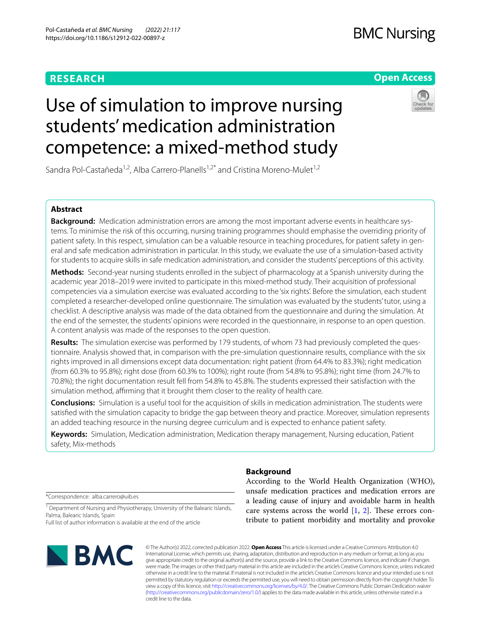## **RESEARCH**

## **BMC Nursing**

## **Open Access**

# Use of simulation to improve nursing students' medication administration competence: a mixed‑method study



Sandra Pol-Castañeda<sup>1,2</sup>, Alba Carrero-Planells<sup>1,2\*</sup> and Cristina Moreno-Mulet<sup>1,2</sup>

## **Abstract**

**Background:** Medication administration errors are among the most important adverse events in healthcare systems. To minimise the risk of this occurring, nursing training programmes should emphasise the overriding priority of patient safety. In this respect, simulation can be a valuable resource in teaching procedures, for patient safety in general and safe medication administration in particular. In this study, we evaluate the use of a simulation-based activity for students to acquire skills in safe medication administration, and consider the students' perceptions of this activity.

**Methods:** Second-year nursing students enrolled in the subject of pharmacology at a Spanish university during the academic year 2018–2019 were invited to participate in this mixed-method study. Their acquisition of professional competencies via a simulation exercise was evaluated according to the 'six rights'. Before the simulation, each student completed a researcher-developed online questionnaire. The simulation was evaluated by the students' tutor, using a checklist. A descriptive analysis was made of the data obtained from the questionnaire and during the simulation. At the end of the semester, the students' opinions were recorded in the questionnaire, in response to an open question. A content analysis was made of the responses to the open question.

Results: The simulation exercise was performed by 179 students, of whom 73 had previously completed the questionnaire. Analysis showed that, in comparison with the pre-simulation questionnaire results, compliance with the six rights improved in all dimensions except data documentation: right patient (from 64.4% to 83.3%); right medication (from 60.3% to 95.8%); right dose (from 60.3% to 100%); right route (from 54.8% to 95.8%); right time (from 24.7% to 70.8%); the right documentation result fell from 54.8% to 45.8%. The students expressed their satisfaction with the simulation method, affirming that it brought them closer to the reality of health care.

**Conclusions:** Simulation is a useful tool for the acquisition of skills in medication administration. The students were satisfed with the simulation capacity to bridge the gap between theory and practice. Moreover, simulation represents an added teaching resource in the nursing degree curriculum and is expected to enhance patient safety.

**Keywords:** Simulation, Medication administration, Medication therapy management, Nursing education, Patient safety, Mix-methods

\*Correspondence: alba.carrero@uib.es

<sup>1</sup> Department of Nursing and Physiotherapy, University of the Balearic Islands, Palma, Balearic Islands, Spain

Full list of author information is available at the end of the article



## **Background**

According to the World Health Organization (WHO), unsafe medication practices and medication errors are a leading cause of injury and avoidable harm in health care systems across the world  $[1, 2]$  $[1, 2]$  $[1, 2]$  $[1, 2]$  $[1, 2]$ . These errors contribute to patient morbidity and mortality and provoke

© The Author(s) 2022, corrected publication 2022. **Open Access** This article is licensed under a Creative Commons Attribution 4.0 International License, which permits use, sharing, adaptation, distribution and reproduction in any medium or format, as long as you give appropriate credit to the original author(s) and the source, provide a link to the Creative Commons licence, and indicate if changes were made. The images or other third party material in this article are included in the article's Creative Commons licence, unless indicated otherwise in a credit line to the material. If material is not included in the article's Creative Commons licence and your intended use is not permitted by statutory regulation or exceeds the permitted use, you will need to obtain permission directly from the copyright holder. To view a copy of this licence, visit [http://creativecommons.org/licenses/by/4.0/.](http://creativecommons.org/licenses/by/4.0/) The Creative Commons Public Domain Dedication waiver [\(http://creativecommons.org/publicdomain/zero/1.0/\)](http://creativecommons.org/publicdomain/zero/1.0/) applies to the data made available in this article, unless otherwise stated in a credit line to the data.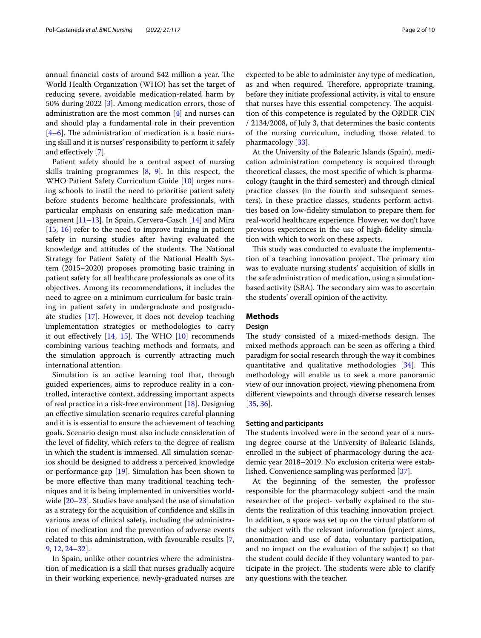annual financial costs of around \$42 million a year. The World Health Organization (WHO) has set the target of reducing severe, avoidable medication-related harm by 50% during 2022 [\[3\]](#page-8-2). Among medication errors, those of administration are the most common [\[4](#page-8-3)] and nurses can and should play a fundamental role in their prevention  $[4–6]$  $[4–6]$  $[4–6]$ . The administration of medication is a basic nursing skill and it is nurses' responsibility to perform it safely and efectively [[7\]](#page-8-5).

Patient safety should be a central aspect of nursing skills training programmes [\[8](#page-8-6), [9](#page-8-7)]. In this respect, the WHO Patient Safety Curriculum Guide [\[10](#page-9-0)] urges nursing schools to instil the need to prioritise patient safety before students become healthcare professionals, with particular emphasis on ensuring safe medication management [\[11](#page-9-1)[–13\]](#page-9-2). In Spain, Cervera-Gasch [\[14](#page-9-3)] and Mira [[15,](#page-9-4) [16](#page-9-5)] refer to the need to improve training in patient safety in nursing studies after having evaluated the knowledge and attitudes of the students. The National Strategy for Patient Safety of the National Health System (2015–2020) proposes promoting basic training in patient safety for all healthcare professionals as one of its objectives. Among its recommendations, it includes the need to agree on a minimum curriculum for basic training in patient safety in undergraduate and postgraduate studies [\[17](#page-9-6)]. However, it does not develop teaching implementation strategies or methodologies to carry it out effectively  $[14, 15]$  $[14, 15]$  $[14, 15]$  $[14, 15]$ . The WHO  $[10]$  $[10]$  recommends combining various teaching methods and formats, and the simulation approach is currently attracting much international attention.

Simulation is an active learning tool that, through guided experiences, aims to reproduce reality in a controlled, interactive context, addressing important aspects of real practice in a risk-free environment [[18](#page-9-7)]. Designing an efective simulation scenario requires careful planning and it is is essential to ensure the achievement of teaching goals. Scenario design must also include consideration of the level of fdelity, which refers to the degree of realism in which the student is immersed. All simulation scenarios should be designed to address a perceived knowledge or performance gap [[19](#page-9-8)]. Simulation has been shown to be more efective than many traditional teaching techniques and it is being implemented in universities worldwide [[20](#page-9-9)[–23](#page-9-10)]. Studies have analysed the use of simulation as a strategy for the acquisition of confdence and skills in various areas of clinical safety, including the administration of medication and the prevention of adverse events related to this administration, with favourable results [\[7](#page-8-5), [9,](#page-8-7) [12,](#page-9-11) [24](#page-9-12)[–32](#page-9-13)].

In Spain, unlike other countries where the administration of medication is a skill that nurses gradually acquire in their working experience, newly-graduated nurses are expected to be able to administer any type of medication, as and when required. Therefore, appropriate training, before they initiate professional activity, is vital to ensure that nurses have this essential competency. The acquisition of this competence is regulated by the ORDER CIN / 2134/2008, of July 3, that determines the basic contents of the nursing curriculum, including those related to pharmacology [[33](#page-9-14)].

At the University of the Balearic Islands (Spain), medication administration competency is acquired through theoretical classes, the most specifc of which is pharmacology (taught in the third semester) and through clinical practice classes (in the fourth and subsequent semesters). In these practice classes, students perform activities based on low-fdelity simulation to prepare them for real-world healthcare experience. However, we don't have previous experiences in the use of high-fdelity simulation with which to work on these aspects.

This study was conducted to evaluate the implementation of a teaching innovation project. The primary aim was to evaluate nursing students' acquisition of skills in the safe administration of medication, using a simulationbased activity (SBA). The secondary aim was to ascertain the students' overall opinion of the activity.

## **Methods**

## **Design**

The study consisted of a mixed-methods design. The mixed methods approach can be seen as offering a third paradigm for social research through the way it combines quantitative and qualitative methodologies  $[34]$  $[34]$ . This methodology will enable us to seek a more panoramic view of our innovation project, viewing phenomena from diferent viewpoints and through diverse research lenses [[35,](#page-9-16) [36](#page-9-17)].

## **Setting and participants**

The students involved were in the second year of a nursing degree course at the University of Balearic Islands, enrolled in the subject of pharmacology during the academic year 2018–2019. No exclusion criteria were established. Convenience sampling was performed [\[37\]](#page-9-18).

At the beginning of the semester, the professor responsible for the pharmacology subject -and the main researcher of the project- verbally explained to the students the realization of this teaching innovation project. In addition, a space was set up on the virtual platform of the subject with the relevant information (project aims, anonimation and use of data, voluntary participation, and no impact on the evaluation of the subject) so that the student could decide if they voluntary wanted to participate in the project. The students were able to clarify any questions with the teacher.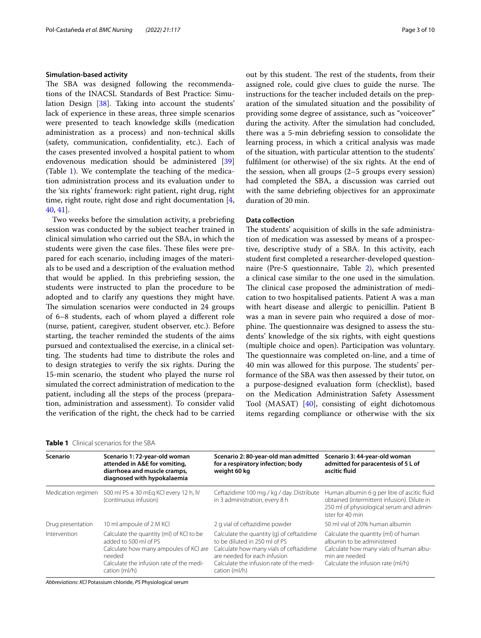#### **Simulation‑based activity**

The SBA was designed following the recommendations of the INACSL Standards of Best Practice: Simulation Design [[38](#page-9-19)]. Taking into account the students' lack of experience in these areas, three simple scenarios were presented to teach knowledge skills (medication administration as a process) and non-technical skills (safety, communication, confdentiality, etc.). Each of the cases presented involved a hospital patient to whom endovenous medication should be administered [[39](#page-9-20)] (Table [1](#page-2-0)). We contemplate the teaching of the medication administration process and its evaluation under to the 'six rights' framework: right patient, right drug, right time, right route, right dose and right documentation [\[4](#page-8-3), [40,](#page-9-21) [41\]](#page-9-22).

Two weeks before the simulation activity, a prebriefng session was conducted by the subject teacher trained in clinical simulation who carried out the SBA, in which the students were given the case files. These files were prepared for each scenario, including images of the materials to be used and a description of the evaluation method that would be applied. In this prebriefng session, the students were instructed to plan the procedure to be adopted and to clarify any questions they might have. The simulation scenarios were conducted in 24 groups of 6–8 students, each of whom played a diferent role (nurse, patient, caregiver, student observer, etc.). Before starting, the teacher reminded the students of the aims pursued and contextualised the exercise, in a clinical setting. The students had time to distribute the roles and to design strategies to verify the six rights. During the 15-min scenario, the student who played the nurse rol simulated the correct administration of medication to the patient, including all the steps of the process (preparation, administration and assessment). To consider valid the verifcation of the right, the check had to be carried out by this student. The rest of the students, from their assigned role, could give clues to guide the nurse. The instructions for the teacher included details on the preparation of the simulated situation and the possibility of providing some degree of assistance, such as "voiceover" during the activity. After the simulation had concluded, there was a 5-min debriefng session to consolidate the learning process, in which a critical analysis was made of the situation, with particular attention to the students' fulflment (or otherwise) of the six rights. At the end of the session, when all groups (2–5 groups every session) had completed the SBA, a discussion was carried out with the same debriefng objectives for an approximate duration of 20 min.

## **Data collection**

The students' acquisition of skills in the safe administration of medication was assessed by means of a prospective, descriptive study of a SBA. In this activity, each student frst completed a researcher-developed questionnaire (Pre-S questionnaire, Table [2](#page-3-0)), which presented a clinical case similar to the one used in the simulation. The clinical case proposed the administration of medication to two hospitalised patients. Patient A was a man with heart disease and allergic to penicillin. Patient B was a man in severe pain who required a dose of morphine. The questionnaire was designed to assess the students' knowledge of the six rights, with eight questions (multiple choice and open). Participation was voluntary. The questionnaire was completed on-line, and a time of 40 min was allowed for this purpose. The students' performance of the SBA was then assessed by their tutor, on a purpose-designed evaluation form (checklist), based on the Medication Administration Safety Assessment Tool (MASAT) [\[40](#page-9-21)], consisting of eight dichotomous items regarding compliance or otherwise with the six

| Scenario           | Scenario 1: 72-year-old woman<br>attended in A&E for vomiting,<br>diarrhoea and muscle cramps,<br>diagnosed with hypokalaemia                                                      | Scenario 2: 80-year-old man admitted<br>for a respiratory infection; body<br>weight 60 kg                                                                                                                          | Scenario 3: 44-year-old woman<br>admitted for paracentesis of 5 L of<br>ascitic fluid                                                                                 |
|--------------------|------------------------------------------------------------------------------------------------------------------------------------------------------------------------------------|--------------------------------------------------------------------------------------------------------------------------------------------------------------------------------------------------------------------|-----------------------------------------------------------------------------------------------------------------------------------------------------------------------|
| Medication regimen | 500 ml PS + 30 mEg KCI every 12 h, IV<br>(continuous infusion)                                                                                                                     | Ceftazidime 100 mg / kg / day. Distribute<br>in 3 administration, every 8 h                                                                                                                                        | Human albumin 6 g per litre of ascitic fluid<br>obtained (intermittent infusion). Dilute in<br>250 ml of physiological serum and admin-<br>ister for 40 min           |
| Drug presentation  | 10 ml ampoule of 2 M KCl                                                                                                                                                           | 2 g vial of ceftazidime powder                                                                                                                                                                                     | 50 ml vial of 20% human albumin                                                                                                                                       |
| Intervention       | Calculate the quantity (ml) of KCI to be<br>added to 500 ml of PS<br>Calculate how many ampoules of KCI are<br>needed<br>Calculate the infusion rate of the medi-<br>cation (ml/h) | Calculate the quantity (q) of ceftazidime<br>to be diluted in 250 ml of PS<br>Calculate how many vials of ceftazidime<br>are needed for each infusion<br>Calculate the infusion rate of the medi-<br>cation (ml/h) | Calculate the quantity (ml) of human<br>albumin to be administered<br>Calculate how many vials of human albu-<br>min are needed<br>Calculate the infusion rate (ml/h) |

## <span id="page-2-0"></span>**Table 1** Clinical scenarios for the SBA

*Abbreviations*: *KCl* Potassium chloride, *PS* Physiological serum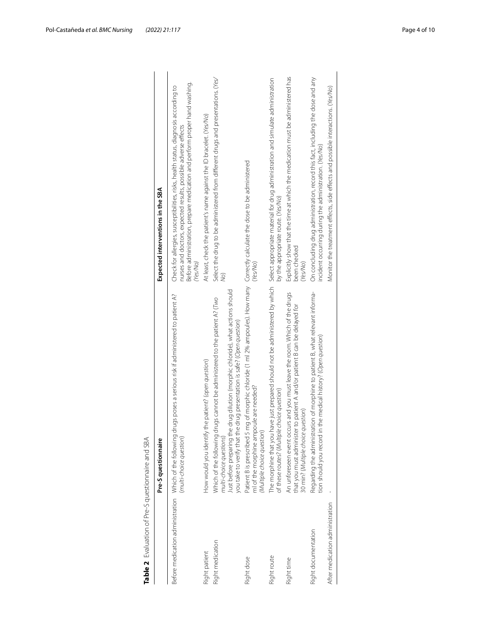| Table 2 Evaluation of Pre-S questionnaire and SBA |                                                                                                                                                                                                                                                                   |                                                                                                                                                                                                                                                 |
|---------------------------------------------------|-------------------------------------------------------------------------------------------------------------------------------------------------------------------------------------------------------------------------------------------------------------------|-------------------------------------------------------------------------------------------------------------------------------------------------------------------------------------------------------------------------------------------------|
|                                                   | Pre-S questionnaire                                                                                                                                                                                                                                               | Expected interventions in the SBA                                                                                                                                                                                                               |
|                                                   | Before medication administration Which of the following drugs poses a serious risk if administered to patient A?<br>(multi-choice question)                                                                                                                       | Before administration, prepare medication and perform proper hand washing.<br>Check for allergies, susceptibilities, risks, health status, diagnosis according to<br>nurses and doctors, expected results, possible adverse effects<br>(Yes/No) |
| Right patient                                     | How would you identify the patient? (open question)                                                                                                                                                                                                               | At least, check the patient's name against the ID bracelet. (Yes/No)                                                                                                                                                                            |
| Right medication                                  | Just before preparing the drug dilution (morphic chloride), what actions should<br>Which of the following drugs cannot be administered to the patient A? (Two<br>you take to verify that the drug presentation is safe? (Open question)<br>multi-choice questions | Select the drug to be administered from different drugs and presentations. (Yes/<br>QN                                                                                                                                                          |
| Right dose                                        | IS mg of morphic chloride (1 ml 2% ampoules). How many Correctly calculate the dose to be administered<br>ml of the morphine ampoule are needed?<br>(Multiple choice question)<br>Patient B is prescribed                                                         | (Yes/No)                                                                                                                                                                                                                                        |
| Right route                                       | of these routes? (Multiple choice question)                                                                                                                                                                                                                       | The morphine that you have just prepared should not be administered by which Select appropriate material for drug administration and simulate administration<br>by the appropriate route. (Yes/No)                                              |
| Right time                                        | An unforeseen event occurs and you must leave the room. Which of the drugs<br>that you must administer to patient A and/or patient B can be delayed for<br>30 min? (Multiple choice question)                                                                     | Explicitly show that the time at which the medication must be administered has<br>been checked<br>(Yes/No)                                                                                                                                      |
| Right documentation                               | Regarding the administration of morphine to patient B, what relevant informa-<br>tion should you record in the medical history? (Open question)                                                                                                                   | On concluding drug administration, record this fact, including the dose and any<br>incident occurring during the administration. (Yes/No)                                                                                                       |
| After medication administration                   |                                                                                                                                                                                                                                                                   | Monitor the treatment effects, side effects and possible interactions. (Yes/No)                                                                                                                                                                 |
|                                                   |                                                                                                                                                                                                                                                                   |                                                                                                                                                                                                                                                 |

<span id="page-3-0"></span>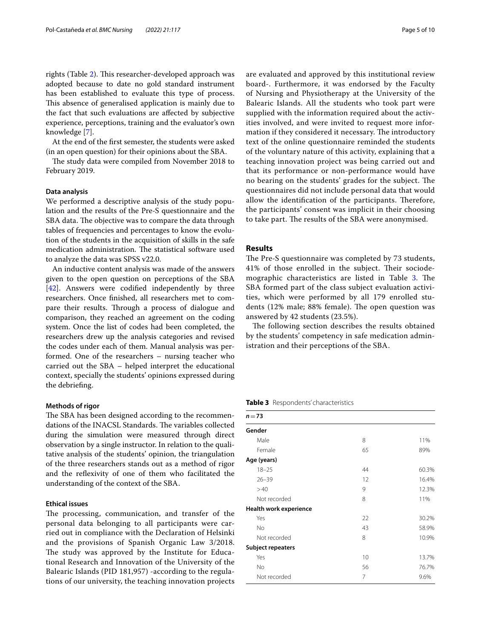rights (Table [2](#page-3-0)). This researcher-developed approach was adopted because to date no gold standard instrument has been established to evaluate this type of process. This absence of generalised application is mainly due to the fact that such evaluations are afected by subjective experience, perceptions, training and the evaluator's own knowledge [\[7](#page-8-5)].

At the end of the frst semester, the students were asked (in an open question) for their opinions about the SBA.

The study data were compiled from November 2018 to February 2019.

## **Data analysis**

We performed a descriptive analysis of the study population and the results of the Pre-S questionnaire and the SBA data. The objective was to compare the data through tables of frequencies and percentages to know the evolution of the students in the acquisition of skills in the safe medication administration. The statistical software used to analyze the data was SPSS v22.0.

An inductive content analysis was made of the answers given to the open question on perceptions of the SBA [[42\]](#page-9-23). Answers were codified independently by three researchers. Once fnished, all researchers met to compare their results. Through a process of dialogue and comparison, they reached an agreement on the coding system. Once the list of codes had been completed, the researchers drew up the analysis categories and revised the codes under each of them. Manual analysis was performed. One of the researchers – nursing teacher who carried out the SBA – helped interpret the educational context, specially the students' opinions expressed during the debriefng.

#### **Methods of rigor**

The SBA has been designed according to the recommendations of the INACSL Standards. The variables collected during the simulation were measured through direct observation by a single instructor. In relation to the qualitative analysis of the students' opinion, the triangulation of the three researchers stands out as a method of rigor and the refexivity of one of them who facilitated the understanding of the context of the SBA.

## **Ethical issues**

The processing, communication, and transfer of the personal data belonging to all participants were carried out in compliance with the Declaration of Helsinki and the provisions of Spanish Organic Law 3/2018. The study was approved by the Institute for Educational Research and Innovation of the University of the Balearic Islands (PID 181,957) -according to the regulations of our university, the teaching innovation projects are evaluated and approved by this institutional review board-. Furthermore, it was endorsed by the Faculty of Nursing and Physiotherapy at the University of the Balearic Islands. All the students who took part were supplied with the information required about the activities involved, and were invited to request more information if they considered it necessary. The introductory text of the online questionnaire reminded the students of the voluntary nature of this activity, explaining that a teaching innovation project was being carried out and that its performance or non-performance would have no bearing on the students' grades for the subject. The questionnaires did not include personal data that would allow the identification of the participants. Therefore, the participants' consent was implicit in their choosing to take part. The results of the SBA were anonymised.

## **Results**

The Pre-S questionnaire was completed by 73 students, 41% of those enrolled in the subject. Their sociode-mographic characteristics are listed in Table [3](#page-4-0). The SBA formed part of the class subject evaluation activities, which were performed by all 179 enrolled students (12% male; 88% female). The open question was answered by 42 students (23.5%).

The following section describes the results obtained by the students' competency in safe medication administration and their perceptions of the SBA.

#### <span id="page-4-0"></span>**Table 3** Respondents' characteristics

| $n = 73$                      |    |       |  |  |  |
|-------------------------------|----|-------|--|--|--|
| Gender                        |    |       |  |  |  |
| Male                          | 8  | 11%   |  |  |  |
| Female                        | 65 | 89%   |  |  |  |
| Age (years)                   |    |       |  |  |  |
| $18 - 25$                     | 44 | 60.3% |  |  |  |
| $26 - 39$                     | 12 | 16.4% |  |  |  |
| >40                           | 9  | 12.3% |  |  |  |
| Not recorded                  | 8  | 11%   |  |  |  |
| <b>Health work experience</b> |    |       |  |  |  |
| Yes                           | 22 | 30.2% |  |  |  |
| <b>No</b>                     | 43 | 58.9% |  |  |  |
| Not recorded                  | 8  | 10.9% |  |  |  |
| <b>Subject repeaters</b>      |    |       |  |  |  |
| Yes                           | 10 | 13.7% |  |  |  |
| No                            | 56 | 76.7% |  |  |  |
| Not recorded                  | 7  | 9.6%  |  |  |  |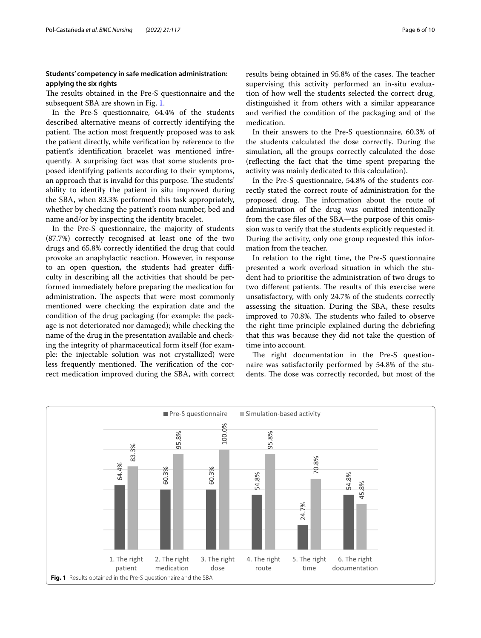## **Students' competency in safe medication administration: applying the six rights**

The results obtained in the Pre-S questionnaire and the subsequent SBA are shown in Fig. [1](#page-5-0).

In the Pre-S questionnaire, 64.4% of the students described alternative means of correctly identifying the patient. The action most frequently proposed was to ask the patient directly, while verifcation by reference to the patient's identifcation bracelet was mentioned infrequently. A surprising fact was that some students proposed identifying patients according to their symptoms, an approach that is invalid for this purpose. The students' ability to identify the patient in situ improved during the SBA, when 83.3% performed this task appropriately, whether by checking the patient's room number, bed and name and/or by inspecting the identity bracelet.

In the Pre-S questionnaire, the majority of students (87.7%) correctly recognised at least one of the two drugs and 65.8% correctly identifed the drug that could provoke an anaphylactic reaction. However, in response to an open question, the students had greater difficulty in describing all the activities that should be performed immediately before preparing the medication for administration. The aspects that were most commonly mentioned were checking the expiration date and the condition of the drug packaging (for example: the package is not deteriorated nor damaged); while checking the name of the drug in the presentation available and checking the integrity of pharmaceutical form itself (for example: the injectable solution was not crystallized) were less frequently mentioned. The verification of the correct medication improved during the SBA, with correct results being obtained in 95.8% of the cases. The teacher supervising this activity performed an in-situ evaluation of how well the students selected the correct drug, distinguished it from others with a similar appearance and verifed the condition of the packaging and of the medication.

In their answers to the Pre-S questionnaire, 60.3% of the students calculated the dose correctly. During the simulation, all the groups correctly calculated the dose (refecting the fact that the time spent preparing the activity was mainly dedicated to this calculation).

In the Pre-S questionnaire, 54.8% of the students correctly stated the correct route of administration for the proposed drug. The information about the route of administration of the drug was omitted intentionally from the case fles of the SBA—the purpose of this omission was to verify that the students explicitly requested it. During the activity, only one group requested this information from the teacher.

In relation to the right time, the Pre-S questionnaire presented a work overload situation in which the student had to prioritise the administration of two drugs to two different patients. The results of this exercise were unsatisfactory, with only 24.7% of the students correctly assessing the situation. During the SBA, these results improved to 70.8%. The students who failed to observe the right time principle explained during the debriefng that this was because they did not take the question of time into account.

The right documentation in the Pre-S questionnaire was satisfactorily performed by 54.8% of the students. The dose was correctly recorded, but most of the

<span id="page-5-0"></span>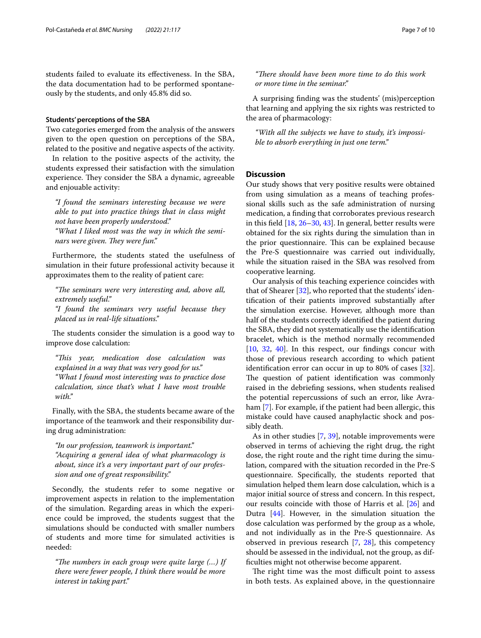students failed to evaluate its efectiveness. In the SBA, the data documentation had to be performed spontaneously by the students, and only 45.8% did so.

## **Students' perceptions of the SBA**

Two categories emerged from the analysis of the answers given to the open question on perceptions of the SBA, related to the positive and negative aspects of the activity.

In relation to the positive aspects of the activity, the students expressed their satisfaction with the simulation experience. They consider the SBA a dynamic, agreeable and enjouable activity:

*"I found the seminars interesting because we were able to put into practice things that in class might not have been properly understood." "What I liked most was the way in which the semi-*

*nars were given. They were fun."* 

Furthermore, the students stated the usefulness of simulation in their future professional activity because it approximates them to the reality of patient care:

"The seminars were very interesting and, above all, *extremely useful."*

*"I found the seminars very useful because they placed us in real-life situations."*

The students consider the simulation is a good way to improve dose calculation:

*"Tis year, medication dose calculation was explained in a way that was very good for us." "What I found most interesting was to practice dose calculation, since that's what I have most trouble with."*

Finally, with the SBA, the students became aware of the importance of the teamwork and their responsibility during drug administration:

*"In our profession, teamwork is important." "Acquiring a general idea of what pharmacology is about, since it's a very important part of our profession and one of great responsibility."*

Secondly, the students refer to some negative or improvement aspects in relation to the implementation of the simulation. Regarding areas in which the experience could be improved, the students suggest that the simulations should be conducted with smaller numbers of students and more time for simulated activities is needed:

*"The numbers in each group were quite large (...) If there were fewer people, I think there would be more interest in taking part."*

"There should have been more time to do this work *or more time in the seminar."*

A surprising fnding was the students' (mis)perception that learning and applying the six rights was restricted to the area of pharmacology:

*"With all the subjects we have to study, it's impossible to absorb everything in just one term."*

## **Discussion**

Our study shows that very positive results were obtained from using simulation as a means of teaching professional skills such as the safe administration of nursing medication, a fnding that corroborates previous research in this feld [[18](#page-9-7), [26–](#page-9-24)[30,](#page-9-25) [43\]](#page-9-26). In general, better results were obtained for the six rights during the simulation than in the prior questionnaire. This can be explained because the Pre-S questionnaire was carried out individually, while the situation raised in the SBA was resolved from cooperative learning.

Our analysis of this teaching experience coincides with that of Shearer  $[32]$  $[32]$ , who reported that the students' identifcation of their patients improved substantially after the simulation exercise. However, although more than half of the students correctly identifed the patient during the SBA, they did not systematically use the identifcation bracelet, which is the method normally recommended [[10,](#page-9-0) [32](#page-9-13), [40](#page-9-21)]. In this respect, our findings concur with those of previous research according to which patient identifcation error can occur in up to 80% of cases [\[32](#page-9-13)]. The question of patient identification was commonly raised in the debriefng sessions, when students realised the potential repercussions of such an error, like Avraham [\[7](#page-8-5)]. For example, if the patient had been allergic, this mistake could have caused anaphylactic shock and possibly death.

As in other studies [\[7](#page-8-5), [39\]](#page-9-20), notable improvements were observed in terms of achieving the right drug, the right dose, the right route and the right time during the simulation, compared with the situation recorded in the Pre-S questionnaire. Specifcally, the students reported that simulation helped them learn dose calculation, which is a major initial source of stress and concern. In this respect, our results coincide with those of Harris et al. [[26\]](#page-9-24) and Dutra [[44](#page-9-27)]. However, in the simulation situation the dose calculation was performed by the group as a whole, and not individually as in the Pre-S questionnaire. As observed in previous research [\[7](#page-8-5), [28](#page-9-28)], this competency should be assessed in the individual, not the group, as diffculties might not otherwise become apparent.

The right time was the most difficult point to assess in both tests. As explained above, in the questionnaire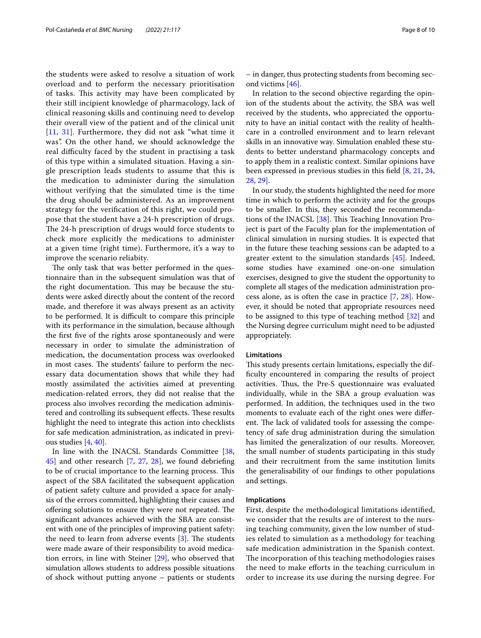the students were asked to resolve a situation of work overload and to perform the necessary prioritisation of tasks. This activity may have been complicated by their still incipient knowledge of pharmacology, lack of clinical reasoning skills and continuing need to develop their overall view of the patient and of the clinical unit [[11](#page-9-1), [31\]](#page-9-29). Furthermore, they did not ask "what time it was". On the other hand, we should acknowledge the real difficulty faced by the student in practising a task of this type within a simulated situation. Having a single prescription leads students to assume that this is the medication to administer during the simulation without verifying that the simulated time is the time the drug should be administered. As an improvement strategy for the verifcation of this right, we could propose that the student have a 24-h prescription of drugs. The 24-h prescription of drugs would force students to check more explicitly the medications to administer at a given time (right time). Furthermore, it's a way to improve the scenario reliabity.

The only task that was better performed in the questionnaire than in the subsequent simulation was that of the right documentation. This may be because the students were asked directly about the content of the record made, and therefore it was always present as an activity to be performed. It is difficult to compare this principle with its performance in the simulation, because although the frst fve of the rights arose spontaneously and were necessary in order to simulate the administration of medication, the documentation process was overlooked in most cases. The students' failure to perform the necessary data documentation shows that while they had mostly assimilated the activities aimed at preventing medication-related errors, they did not realise that the process also involves recording the medication administered and controlling its subsequent effects. These results highlight the need to integrate this action into checklists for safe medication administration, as indicated in previous studies [\[4](#page-8-3), [40\]](#page-9-21).

In line with the INACSL Standards Committee [\[38](#page-9-19), [45\]](#page-9-30) and other research [\[7,](#page-8-5) [27,](#page-9-31) [28\]](#page-9-28), we found debriefng to be of crucial importance to the learning process. This aspect of the SBA facilitated the subsequent application of patient safety culture and provided a space for analysis of the errors committed, highlighting their causes and offering solutions to ensure they were not repeated. The signifcant advances achieved with the SBA are consistent with one of the principles of improving patient safety: the need to learn from adverse events  $[3]$  $[3]$ . The students were made aware of their responsibility to avoid medication errors, in line with Steiner [\[29](#page-9-32)], who observed that simulation allows students to address possible situations of shock without putting anyone – patients or students

– in danger, thus protecting students from becoming second victims [\[46\]](#page-9-33).

In relation to the second objective regarding the opinion of the students about the activity, the SBA was well received by the students, who appreciated the opportunity to have an initial contact with the reality of healthcare in a controlled environment and to learn relevant skills in an innovative way. Simulation enabled these students to better understand pharmacology concepts and to apply them in a realistic context. Similar opinions have been expressed in previous studies in this feld [[8,](#page-8-6) [21,](#page-9-34) [24](#page-9-12), [28,](#page-9-28) [29\]](#page-9-32).

In our study, the students highlighted the need for more time in which to perform the activity and for the groups to be smaller. In this, they seconded the recommenda-tions of the INACSL [\[38\]](#page-9-19). This Teaching Innovation Project is part of the Faculty plan for the implementation of clinical simulation in nursing studies. It is expected that in the future these teaching sessions can be adapted to a greater extent to the simulation standards [[45\]](#page-9-30). Indeed, some studies have examined one-on-one simulation exercises, designed to give the student the opportunity to complete all stages of the medication administration process alone, as is often the case in practice [\[7](#page-8-5), [28\]](#page-9-28). However, it should be noted that appropriate resources need to be assigned to this type of teaching method [[32\]](#page-9-13) and the Nursing degree curriculum might need to be adjusted appropriately.

### **Limitations**

This study presents certain limitations, especially the diffculty encountered in comparing the results of project activities. Thus, the Pre-S questionnaire was evaluated individually, while in the SBA a group evaluation was performed. In addition, the techniques used in the two moments to evaluate each of the right ones were diferent. The lack of validated tools for assessing the competency of safe drug administration during the simulation has limited the generalization of our results. Moreover, the small number of students participating in this study and their recruitment from the same institution limits the generalisability of our fndings to other populations and settings.

#### **Implications**

First, despite the methodological limitations identifed, we consider that the results are of interest to the nursing teaching community, given the low number of studies related to simulation as a methodology for teaching safe medication administration in the Spanish context. The incorporation of this teaching methodologies raises the need to make eforts in the teaching curriculum in order to increase its use during the nursing degree. For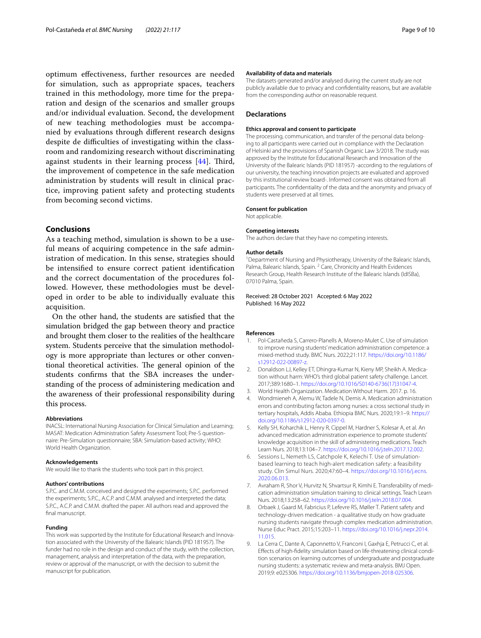optimum efectiveness, further resources are needed for simulation, such as appropriate spaces, teachers trained in this methodology, more time for the preparation and design of the scenarios and smaller groups and/or individual evaluation. Second, the development of new teaching methodologies must be accompanied by evaluations through diferent research designs despite de difficulties of investigating within the classroom and randomizing research without discriminating against students in their learning process  $[44]$  $[44]$ . Third, the improvement of competence in the safe medication administration by students will result in clinical practice, improving patient safety and protecting students from becoming second victims.

## **Conclusions**

As a teaching method, simulation is shown to be a useful means of acquiring competence in the safe administration of medication. In this sense, strategies should be intensifed to ensure correct patient identifcation and the correct documentation of the procedures followed. However, these methodologies must be developed in order to be able to individually evaluate this acquisition.

On the other hand, the students are satisfed that the simulation bridged the gap between theory and practice and brought them closer to the realities of the healthcare system. Students perceive that the simulation methodology is more appropriate than lectures or other conventional theoretical activities. The general opinion of the students confrms that the SBA increases the understanding of the process of administering medication and the awareness of their professional responsibility during this process.

#### **Abbreviations**

INACSL: International Nursing Association for Clinical Simulation and Learning; MASAT: Medication Administration Safety Assessment Tool; Pre-S questionnaire: Pre-Simulation questionnaire; SBA: Simulation-based activity; WHO: World Health Organization.

#### **Acknowledgements**

We would like to thank the students who took part in this project.

#### **Authors' contributions**

S.P.C. and C.M.M. conceived and designed the experiments; S.P.C. performed the experiments; S.P.C., A.C.P. and C.M.M. analysed and interpreted the data; S.P.C., A.C.P. and C.M.M. drafted the paper. All authors read and approved the fnal manuscript.

#### **Funding**

This work was supported by the Institute for Educational Research and Innovation associated with the University of the Balearic Islands (PID 181957). The funder had no role in the design and conduct of the study, with the collection, management, analysis and interpretation of the data, with the preparation, review or approval of the manuscript, or with the decision to submit the manuscript for publication.

#### **Availability of data and materials**

The datasets generated and/or analysed during the current study are not publicly available due to privacy and confdentiality reasons, but are available from the corresponding author on reasonable request.

## **Declarations**

#### **Ethics approval and consent to participate**

The processing, communication, and transfer of the personal data belonging to all participants were carried out in compliance with the Declaration of Helsinki and the provisions of Spanish Organic Law 3/2018. The study was approved by the Institute for Educational Research and Innovation of the University of the Balearic Islands (PID 181957) -according to the regulations of our university, the teaching innovation projects are evaluated and approved by this institutional review board-. Informed consent was obtained from all participants. The confdentiality of the data and the anonymity and privacy of students were preserved at all times.

#### **Consent for publication**

Not applicable.

#### **Competing interests**

The authors declare that they have no competing interests.

#### **Author details**

<sup>1</sup> Department of Nursing and Physiotherapy, University of the Balearic Islands, Palma, Balearic Islands, Spain. <sup>2</sup> Care, Chronicity and Health Evidences Research Group, Health Research Institute of the Balearic Islands (IdISBa), 07010 Palma, Spain.

Received: 28 October 2021 Accepted: 6 May 2022 Published: 16 May 2022

#### **References**

- <span id="page-8-0"></span>1. Pol-Castañeda S, Carrero-Planells A, Moreno-Mulet C. Use of simulation to improve nursing students' medication administration competence: a mixed-method study. BMC Nurs. 2022;21:117. [https://doi.org/10.1186/](https://doi.org/10.1186/s12912-022-00897-z) [s12912-022-00897-z.](https://doi.org/10.1186/s12912-022-00897-z)
- <span id="page-8-1"></span>2. Donaldson LJ, Kelley ET, Dhingra-Kumar N, Kieny MP, Sheikh A. Medication without harm: WHO's third global patient safety challenge. Lancet. 2017;389:1680–1. [https://doi.org/10.1016/S0140-6736\(17\)31047-4](https://doi.org/10.1016/S0140-6736(17)31047-4).
- <span id="page-8-2"></span>3. World Health Organization. Medication Without Harm. 2017. p. 16.
- <span id="page-8-3"></span>4. Wondmieneh A, Alemu W, Tadele N, Demis A. Medication administration errors and contributing factors among nurses: a cross sectional study in tertiary hospitals, Addis Ababa. Ethiopia BMC Nurs. 2020;19:1–9. [https://](https://doi.org/10.1186/s12912-020-0397-0) [doi.org/10.1186/s12912-020-0397-0](https://doi.org/10.1186/s12912-020-0397-0).
- 5. Kelly SH, Koharchik L, Henry R, Cippel M, Hardner S, Kolesar A, et al. An advanced medication administration experience to promote students' knowledge acquisition in the skill of administering medications. Teach Learn Nurs. 2018;13:104–7. [https://doi.org/10.1016/j.teln.2017.12.002.](https://doi.org/10.1016/j.teln.2017.12.002)
- <span id="page-8-4"></span>6. Sessions L, Nemeth LS, Catchpole K, Kelechi T. Use of simulationbased learning to teach high-alert medication safety: a feasibility study. Clin Simul Nurs. 2020;47:60–4. [https://doi.org/10.1016/j.ecns.](https://doi.org/10.1016/j.ecns.2020.06.013) [2020.06.013.](https://doi.org/10.1016/j.ecns.2020.06.013)
- <span id="page-8-5"></span>7. Avraham R, Shor V, Hurvitz N, Shvartsur R, Kimhi E. Transferability of medication administration simulation training to clinical settings. Teach Learn Nurs. 2018;13:258–62. [https://doi.org/10.1016/j.teln.2018.07.004.](https://doi.org/10.1016/j.teln.2018.07.004)
- <span id="page-8-6"></span>8. Orbaek J, Gaard M, Fabricius P, Lefevre RS, Møller T. Patient safety and technology-driven medication - a qualitative study on how graduate nursing students navigate through complex medication administration. Nurse Educ Pract. 2015;15:203–11. [https://doi.org/10.1016/j.nepr.2014.](https://doi.org/10.1016/j.nepr.2014.11.015) [11.015.](https://doi.org/10.1016/j.nepr.2014.11.015)
- <span id="page-8-7"></span>9. La Cerra C, Dante A, Caponnetto V, Franconi I, Gaxhja E, Petrucci C, et al. Efects of high-fdelity simulation based on life-threatening clinical condi‑ tion scenarios on learning outcomes of undergraduate and postgraduate nursing students: a systematic review and meta-analysis. BMJ Open. 2019;9: e025306. <https://doi.org/10.1136/bmjopen-2018-025306>.